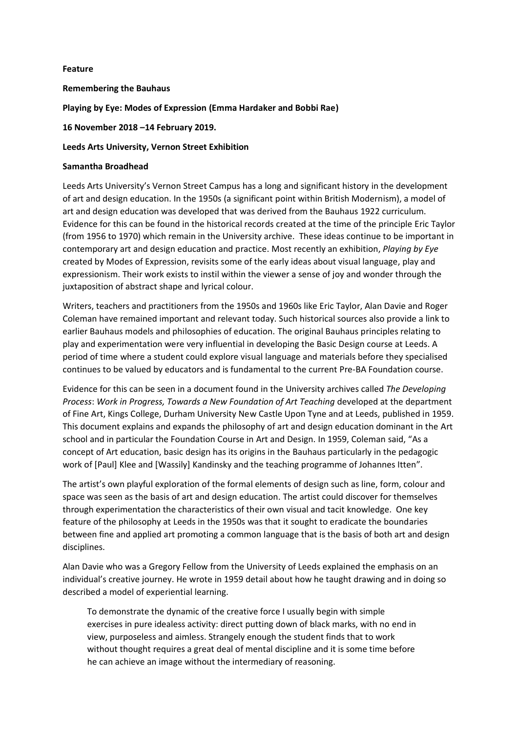## **Feature**

**Remembering the Bauhaus**

**Playing by Eye: Modes of Expression (Emma Hardaker and Bobbi Rae)**

**16 November 2018 –14 February 2019.**

## **Leeds Arts University, Vernon Street Exhibition**

## **Samantha Broadhead**

Leeds Arts University's Vernon Street Campus has a long and significant history in the development of art and design education. In the 1950s (a significant point within British Modernism), a model of art and design education was developed that was derived from the Bauhaus 1922 curriculum. Evidence for this can be found in the historical records created at the time of the principle Eric Taylor (from 1956 to 1970) which remain in the University archive. These ideas continue to be important in contemporary art and design education and practice. Most recently an exhibition, *Playing by Eye* created by Modes of Expression, revisits some of the early ideas about visual language, play and expressionism. Their work exists to instil within the viewer a sense of joy and wonder through the juxtaposition of abstract shape and lyrical colour.

Writers, teachers and practitioners from the 1950s and 1960s like Eric Taylor, Alan Davie and Roger Coleman have remained important and relevant today. Such historical sources also provide a link to earlier Bauhaus models and philosophies of education. The original Bauhaus principles relating to play and experimentation were very influential in developing the Basic Design course at Leeds. A period of time where a student could explore visual language and materials before they specialised continues to be valued by educators and is fundamental to the current Pre-BA Foundation course.

Evidence for this can be seen in a document found in the University archives called *The Developing Process*: *Work in Progress, Towards a New Foundation of Art Teaching* developed at the department of Fine Art, Kings College, Durham University New Castle Upon Tyne and at Leeds, published in 1959. This document explains and expands the philosophy of art and design education dominant in the Art school and in particular the Foundation Course in Art and Design. In 1959, Coleman said, "As a concept of Art education, basic design has its origins in the Bauhaus particularly in the pedagogic work of [Paul] Klee and [Wassily] Kandinsky and the teaching programme of Johannes Itten".

The artist's own playful exploration of the formal elements of design such as line, form, colour and space was seen as the basis of art and design education. The artist could discover for themselves through experimentation the characteristics of their own visual and tacit knowledge. One key feature of the philosophy at Leeds in the 1950s was that it sought to eradicate the boundaries between fine and applied art promoting a common language that is the basis of both art and design disciplines.

Alan Davie who was a Gregory Fellow from the University of Leeds explained the emphasis on an individual's creative journey. He wrote in 1959 detail about how he taught drawing and in doing so described a model of experiential learning.

To demonstrate the dynamic of the creative force I usually begin with simple exercises in pure idealess activity: direct putting down of black marks, with no end in view, purposeless and aimless. Strangely enough the student finds that to work without thought requires a great deal of mental discipline and it is some time before he can achieve an image without the intermediary of reasoning.